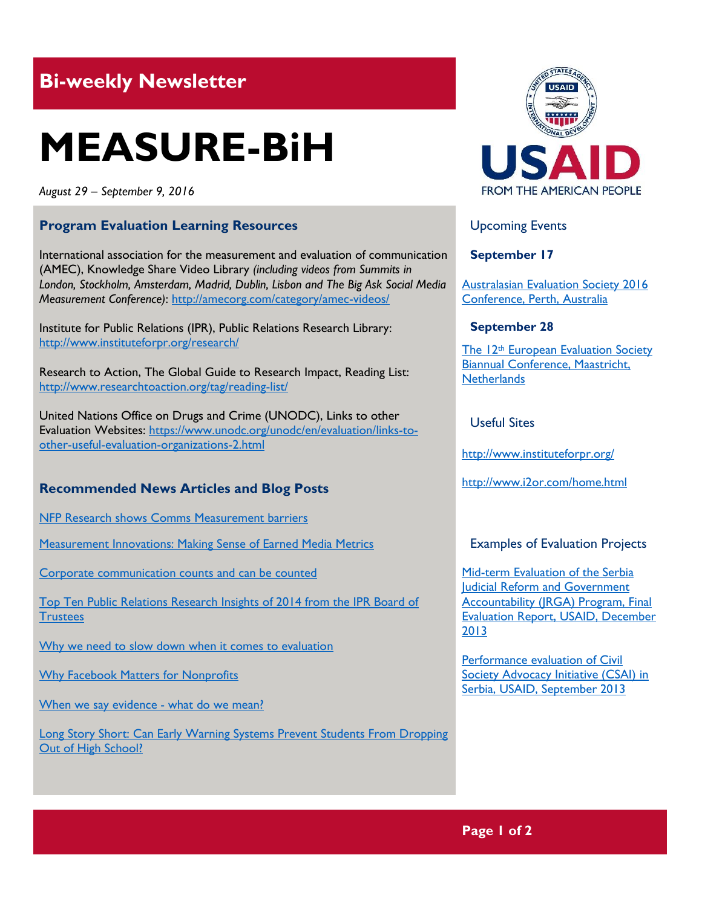## **Bi-weekly Newsletter**

# **MEASURE-BiH**

*August 29 – September 9, 2016*

#### **Program Evaluation Learning Resources**

International association for the measurement and evaluation of communication (AMEC), Knowledge Share Video Library *(including videos from Summits in London, Stockholm, Amsterdam, Madrid, Dublin, Lisbon and The Big Ask Social Media Measurement Conference)*:<http://amecorg.com/category/amec-videos/>

Institute for Public Relations (IPR), Public Relations Research Library: <http://www.instituteforpr.org/research/>

Research to Action, The Global Guide to Research Impact, Reading List: <http://www.researchtoaction.org/tag/reading-list/>

United Nations Office on Drugs and Crime (UNODC), Links to other Evaluation Websites: [https://www.unodc.org/unodc/en/evaluation/links-to](https://www.unodc.org/unodc/en/evaluation/links-to-other-useful-evaluation-organizations-2.html)[other-useful-evaluation-organizations-2.html](https://www.unodc.org/unodc/en/evaluation/links-to-other-useful-evaluation-organizations-2.html)

#### **Recommended News Articles and Blog Posts**

[NFP Research shows Comms Measurement barriers](http://amecorg.com/2016/06/nfp-research-shows-comms-measurement-barriers/)

[Measurement Innovations: Making Sense of Earned Media Metrics](http://www.instituteforpr.org/media-measurement-innovations/)

[Corporate communication counts and can be counted](http://www.instituteforpr.org/corporate-communications-counts-can-counted/)

Top [Ten Public Relations Research Insights of 2014 from the IPR Board of](http://www.instituteforpr.org/top-ten-research-2014/)  **[Trustees](http://www.instituteforpr.org/top-ten-research-2014/)** 

[Why we need to slow down when it comes to evaluation](http://www.hfrp.org/evaluation/publications-resources/why-we-need-to-slow-down-when-it-comes-to-evaluation)

[Why Facebook Matters for Nonprofits](http://www.hfrp.org/evaluation/the-evaluation-exchange/current-issue-scaling-impact/why-facebook-matters-for-nonprofits)

When we say evidence - [what do we mean?](http://www.researchtoaction.org/2016/06/say-evidence-mean/)

[Long Story Short: Can Early Warning Systems Prevent Students From Dropping](http://www.air.org/resource/long-story-short-can-early-warning-systems-prevent-students-dropping-out-high-school)  [Out of High School?](http://www.air.org/resource/long-story-short-can-early-warning-systems-prevent-students-dropping-out-high-school)



Upcoming Events

**September 17**

[Australasian Evaluation Society 2016](http://mande.co.uk/conferences/?event_id1=24)  [Conference, Perth, Australia](http://mande.co.uk/conferences/?event_id1=24)

#### **September 28**

The 12<sup>th</sup> European Evaluation Society [Biannual Conference, Maastricht,](http://mande.co.uk/conferences/?event_id1=16)  **[Netherlands](http://mande.co.uk/conferences/?event_id1=16)** 

Useful Sites

<http://www.instituteforpr.org/>

<http://www.i2or.com/home.html>

#### Examples of Evaluation Projects

Mid-term Evaluation of the Serbia [Judicial Reform and Government](http://pdf.usaid.gov/pdf_docs/pa00jkvm.pdf)  [Accountability \(JRGA\) Program, Final](http://pdf.usaid.gov/pdf_docs/pa00jkvm.pdf)  [Evaluation Report, USAID, December](http://pdf.usaid.gov/pdf_docs/pa00jkvm.pdf)  [2013](http://pdf.usaid.gov/pdf_docs/pa00jkvm.pdf)

[Performance evaluation of Civil](http://pdf.usaid.gov/pdf_docs/pdacy105.pdf)  [Society Advocacy Initiative \(CSAI\) in](http://pdf.usaid.gov/pdf_docs/pdacy105.pdf)  [Serbia, USAID, September](http://pdf.usaid.gov/pdf_docs/pdacy105.pdf) 2013

### **Page 1 of 2**